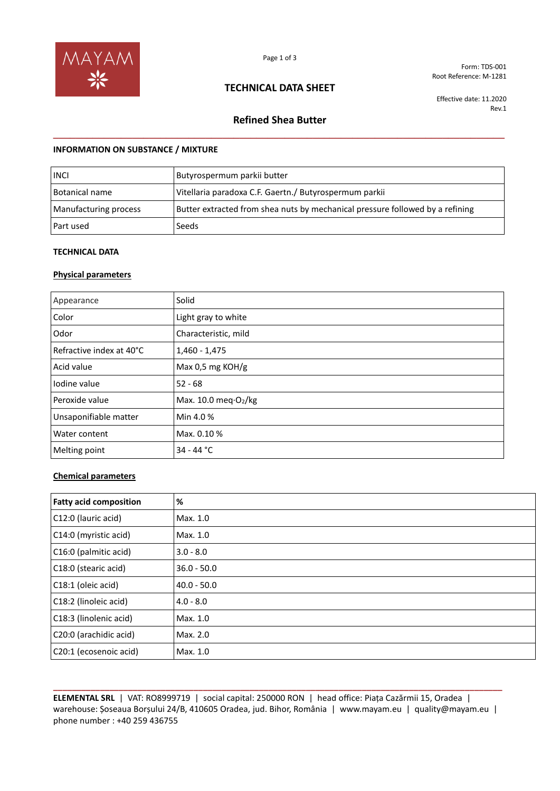

## **TECHNICAL DATA SHEET**

Form: TDS-001 Root Reference: M-1281

Effective date: 11.2020 Rev.1

# **Refined Shea Butter \_\_\_\_\_\_\_\_\_\_\_\_\_\_\_\_\_\_\_\_\_\_\_\_\_\_\_\_\_\_\_\_\_\_\_\_\_\_\_\_\_\_\_\_\_\_\_\_\_\_\_\_\_\_\_\_\_\_\_\_\_\_\_\_\_\_\_\_\_\_\_\_\_\_\_\_\_\_\_\_**

### **INFORMATION ON SUBSTANCE / MIXTURE**

| <b>INCI</b>           | Butyrospermum parkii butter                                                   |
|-----------------------|-------------------------------------------------------------------------------|
| Botanical name        | Vitellaria paradoxa C.F. Gaertn./ Butyrospermum parkii                        |
| Manufacturing process | Butter extracted from shea nuts by mechanical pressure followed by a refining |
| Part used             | Seeds                                                                         |

### **TECHNICAL DATA**

### **Physical parameters**

| Appearance               | Solid                                      |
|--------------------------|--------------------------------------------|
| Color                    | Light gray to white                        |
| Odor                     | Characteristic, mild                       |
| Refractive index at 40°C | $1,460 - 1,475$                            |
| Acid value               | Max 0,5 mg KOH/g                           |
| lodine value             | $52 - 68$                                  |
| Peroxide value           | Max. $10.0$ meq $\cdot$ O <sub>2</sub> /kg |
| Unsaponifiable matter    | Min 4.0 %                                  |
| Water content            | Max. 0.10 %                                |
| Melting point            | $34 - 44 °C$                               |

### **Chemical parameters**

| <b>Fatty acid composition</b> | %             |
|-------------------------------|---------------|
| C12:0 (lauric acid)           | Max. 1.0      |
| C14:0 (myristic acid)         | Max. 1.0      |
| C16:0 (palmitic acid)         | $3.0 - 8.0$   |
| C18:0 (stearic acid)          | $36.0 - 50.0$ |
| C18:1 (oleic acid)            | $40.0 - 50.0$ |
| C18:2 (linoleic acid)         | $4.0 - 8.0$   |
| C18:3 (linolenic acid)        | Max. 1.0      |
| C20:0 (arachidic acid)        | Max. 2.0      |
| C20:1 (ecosenoic acid)        | Max. 1.0      |

**ELEMENTAL SRL** | VAT: RO8999719 | social capital: 250000 RON | head office: Piața Cazărmii 15, Oradea | warehouse: Șoseaua Borșului 24/B, 410605 Oradea, jud. Bihor, România | www.mayam.eu | quality@mayam.eu | phone number : +40 259 436755

**\_\_\_\_\_\_\_\_\_\_\_\_\_\_\_\_\_\_\_\_\_\_\_\_\_\_\_\_\_\_\_\_\_\_\_\_\_\_\_\_\_\_\_\_\_\_\_\_\_\_\_\_\_\_\_\_\_\_\_\_\_\_\_\_\_\_\_\_\_\_\_\_\_\_\_\_\_\_\_\_\_\_\_\_\_\_\_\_\_\_\_\_\_\_\_\_**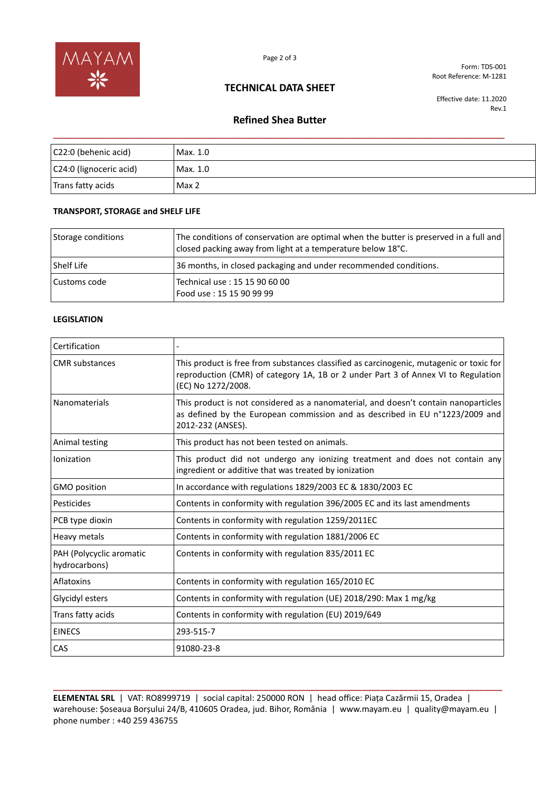

Form: TDS-001 Root Reference: M-1281

## **TECHNICAL DATA SHEET**

Effective date: 11.2020 Rev.1

# **Refined Shea Butter \_\_\_\_\_\_\_\_\_\_\_\_\_\_\_\_\_\_\_\_\_\_\_\_\_\_\_\_\_\_\_\_\_\_\_\_\_\_\_\_\_\_\_\_\_\_\_\_\_\_\_\_\_\_\_\_\_\_\_\_\_\_\_\_\_\_\_\_\_\_\_\_\_\_\_\_\_\_\_\_**

| C22:0 (behenic acid)    | Max. 1.0 |
|-------------------------|----------|
| C24:0 (lignoceric acid) | Max. 1.0 |
| Trans fatty acids       | Max 2    |

### **TRANSPORT, STORAGE and SHELF LIFE**

| Storage conditions | The conditions of conservation are optimal when the butter is preserved in a full and<br>closed packing away from light at a temperature below 18°C. |
|--------------------|------------------------------------------------------------------------------------------------------------------------------------------------------|
| <b>Shelf Life</b>  | 36 months, in closed packaging and under recommended conditions.                                                                                     |
| Customs code       | Technical use: 15 15 90 60 00<br>Food use: 15 15 90 99 99                                                                                            |

#### **LEGISLATION**

| Certification                             |                                                                                                                                                                                                    |
|-------------------------------------------|----------------------------------------------------------------------------------------------------------------------------------------------------------------------------------------------------|
| <b>CMR</b> substances                     | This product is free from substances classified as carcinogenic, mutagenic or toxic for<br>reproduction (CMR) of category 1A, 1B or 2 under Part 3 of Annex VI to Regulation<br>(EC) No 1272/2008. |
| <b>Nanomaterials</b>                      | This product is not considered as a nanomaterial, and doesn't contain nanoparticles<br>as defined by the European commission and as described in EU n°1223/2009 and<br>2012-232 (ANSES).           |
| Animal testing                            | This product has not been tested on animals.                                                                                                                                                       |
| Ionization                                | This product did not undergo any ionizing treatment and does not contain any<br>ingredient or additive that was treated by ionization                                                              |
| <b>GMO</b> position                       | In accordance with regulations 1829/2003 EC & 1830/2003 EC                                                                                                                                         |
| Pesticides                                | Contents in conformity with regulation 396/2005 EC and its last amendments                                                                                                                         |
| PCB type dioxin                           | Contents in conformity with regulation 1259/2011EC                                                                                                                                                 |
| Heavy metals                              | Contents in conformity with regulation 1881/2006 EC                                                                                                                                                |
| PAH (Polycyclic aromatic<br>hydrocarbons) | Contents in conformity with regulation 835/2011 EC                                                                                                                                                 |
| Aflatoxins                                | Contents in conformity with regulation 165/2010 EC                                                                                                                                                 |
| Glycidyl esters                           | Contents in conformity with regulation (UE) 2018/290: Max 1 mg/kg                                                                                                                                  |
| Trans fatty acids                         | Contents in conformity with regulation (EU) 2019/649                                                                                                                                               |
| <b>EINECS</b>                             | 293-515-7                                                                                                                                                                                          |
| CAS                                       | 91080-23-8                                                                                                                                                                                         |

**ELEMENTAL SRL** | VAT: RO8999719 | social capital: 250000 RON | head office: Piața Cazărmii 15, Oradea | warehouse: Șoseaua Borșului 24/B, 410605 Oradea, jud. Bihor, România | www.mayam.eu | quality@mayam.eu | phone number : +40 259 436755

**\_\_\_\_\_\_\_\_\_\_\_\_\_\_\_\_\_\_\_\_\_\_\_\_\_\_\_\_\_\_\_\_\_\_\_\_\_\_\_\_\_\_\_\_\_\_\_\_\_\_\_\_\_\_\_\_\_\_\_\_\_\_\_\_\_\_\_\_\_\_\_\_\_\_\_\_\_\_\_\_\_\_\_\_\_\_\_\_\_\_\_\_\_\_\_\_**